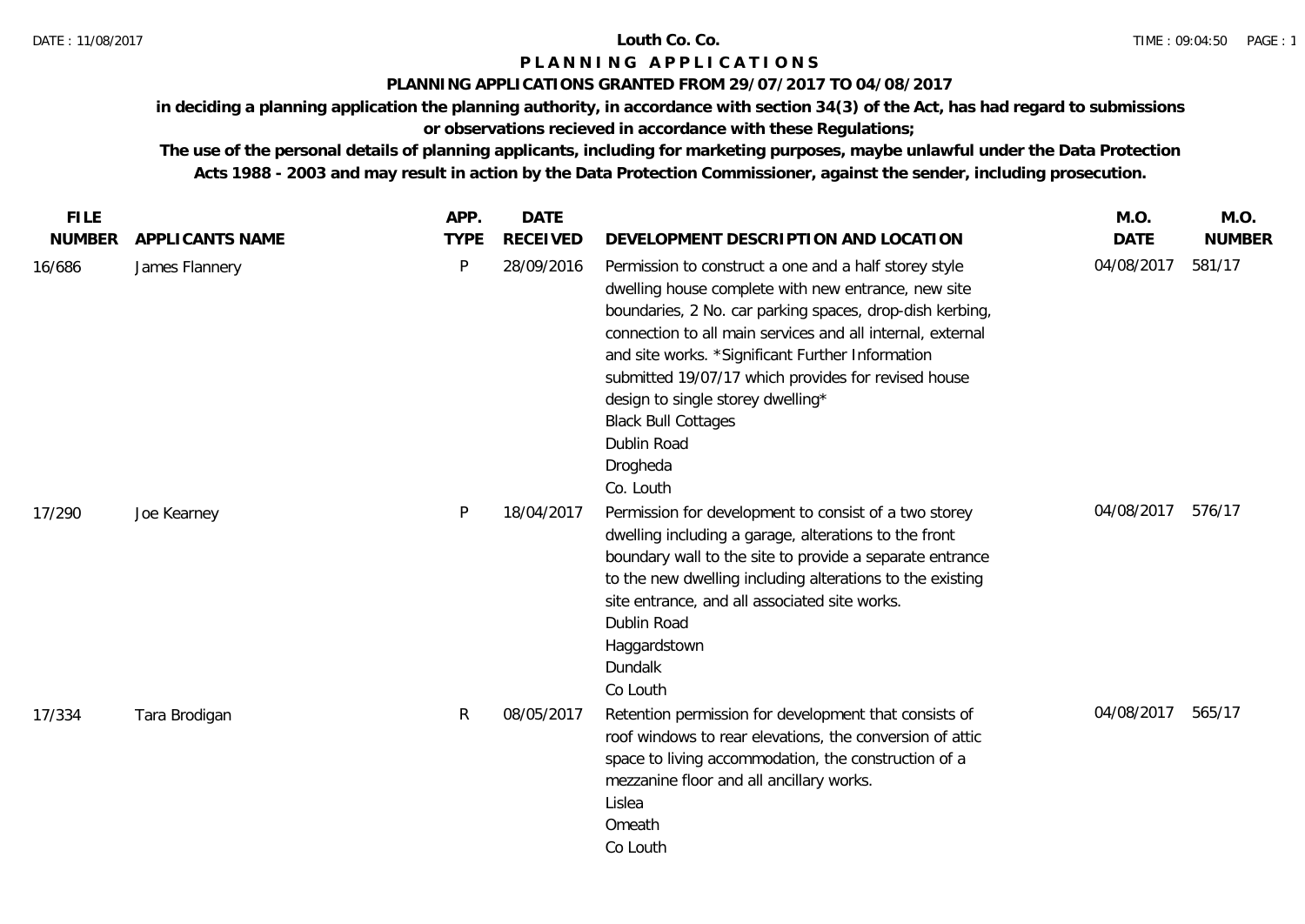## **PLANNING APPLICATIONS GRANTED FROM 29/07/2017 TO 04/08/2017**

**in deciding a planning application the planning authority, in accordance with section 34(3) of the Act, has had regard to submissions** 

# **or observations recieved in accordance with these Regulations;**

| <b>FILE</b>   |                 | APP.        | <b>DATE</b>     |                                                                                                                                                                                                                                                                                                                                                                                                                                                              | M.O.        | M.O.          |
|---------------|-----------------|-------------|-----------------|--------------------------------------------------------------------------------------------------------------------------------------------------------------------------------------------------------------------------------------------------------------------------------------------------------------------------------------------------------------------------------------------------------------------------------------------------------------|-------------|---------------|
| <b>NUMBER</b> | APPLICANTS NAME | <b>TYPE</b> | <b>RECEIVED</b> | DEVELOPMENT DESCRIPTION AND LOCATION                                                                                                                                                                                                                                                                                                                                                                                                                         | <b>DATE</b> | <b>NUMBER</b> |
| 16/686        | James Flannery  | $\sf P$     | 28/09/2016      | Permission to construct a one and a half storey style<br>dwelling house complete with new entrance, new site<br>boundaries, 2 No. car parking spaces, drop-dish kerbing,<br>connection to all main services and all internal, external<br>and site works. *Significant Further Information<br>submitted 19/07/17 which provides for revised house<br>design to single storey dwelling*<br><b>Black Bull Cottages</b><br>Dublin Road<br>Drogheda<br>Co. Louth | 04/08/2017  | 581/17        |
| 17/290        | Joe Kearney     | P           | 18/04/2017      | Permission for development to consist of a two storey<br>dwelling including a garage, alterations to the front<br>boundary wall to the site to provide a separate entrance<br>to the new dwelling including alterations to the existing<br>site entrance, and all associated site works.<br>Dublin Road<br>Haggardstown<br>Dundalk<br>Co Louth                                                                                                               | 04/08/2017  | 576/17        |
| 17/334        | Tara Brodigan   | R           | 08/05/2017      | Retention permission for development that consists of<br>roof windows to rear elevations, the conversion of attic<br>space to living accommodation, the construction of a<br>mezzanine floor and all ancillary works.<br>Lislea<br>Omeath<br>Co Louth                                                                                                                                                                                                        | 04/08/2017  | 565/17        |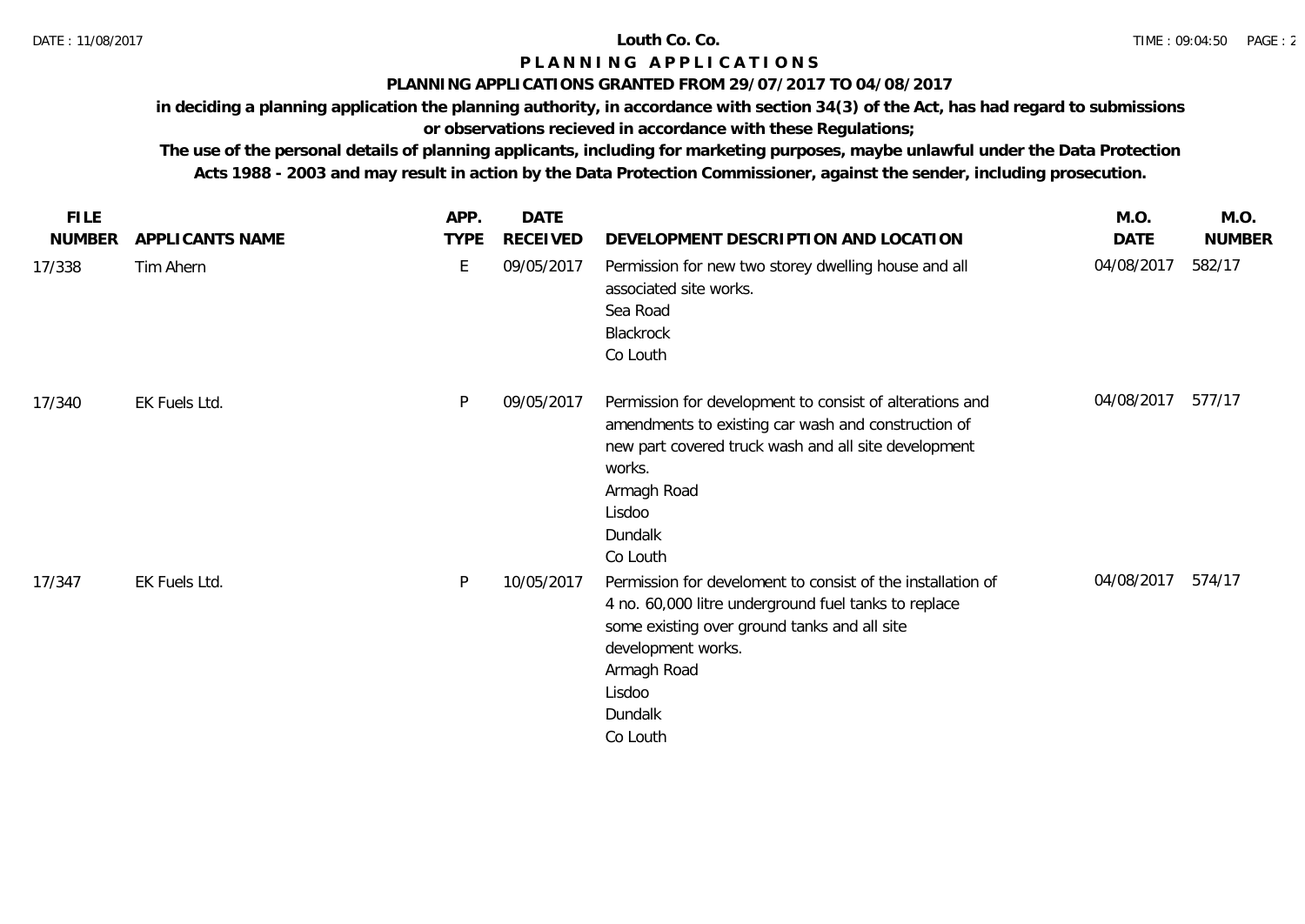## **PLANNING APPLICATIONS GRANTED FROM 29/07/2017 TO 04/08/2017**

**in deciding a planning application the planning authority, in accordance with section 34(3) of the Act, has had regard to submissions** 

# **or observations recieved in accordance with these Regulations;**

| <b>FILE</b>   |                 | APP.        | <b>DATE</b> |                                                                                                                                                                                                                                           | M.O.       | M.O.          |
|---------------|-----------------|-------------|-------------|-------------------------------------------------------------------------------------------------------------------------------------------------------------------------------------------------------------------------------------------|------------|---------------|
| <b>NUMBER</b> | APPLICANTS NAME | <b>TYPE</b> | RECEIVED    | DEVELOPMENT DESCRIPTION AND LOCATION                                                                                                                                                                                                      | DATE       | <b>NUMBER</b> |
| 17/338        | Tim Ahern       | E           | 09/05/2017  | Permission for new two storey dwelling house and all<br>associated site works.<br>Sea Road<br>Blackrock<br>Co Louth                                                                                                                       | 04/08/2017 | 582/17        |
| 17/340        | EK Fuels Ltd.   | P           | 09/05/2017  | Permission for development to consist of alterations and<br>amendments to existing car wash and construction of<br>new part covered truck wash and all site development<br>works.<br>Armagh Road<br>Lisdoo<br>Dundalk<br>Co Louth         | 04/08/2017 | 577/17        |
| 17/347        | EK Fuels Ltd.   | P           | 10/05/2017  | Permission for develoment to consist of the installation of<br>4 no. 60,000 litre underground fuel tanks to replace<br>some existing over ground tanks and all site<br>development works.<br>Armagh Road<br>Lisdoo<br>Dundalk<br>Co Louth | 04/08/2017 | 574/17        |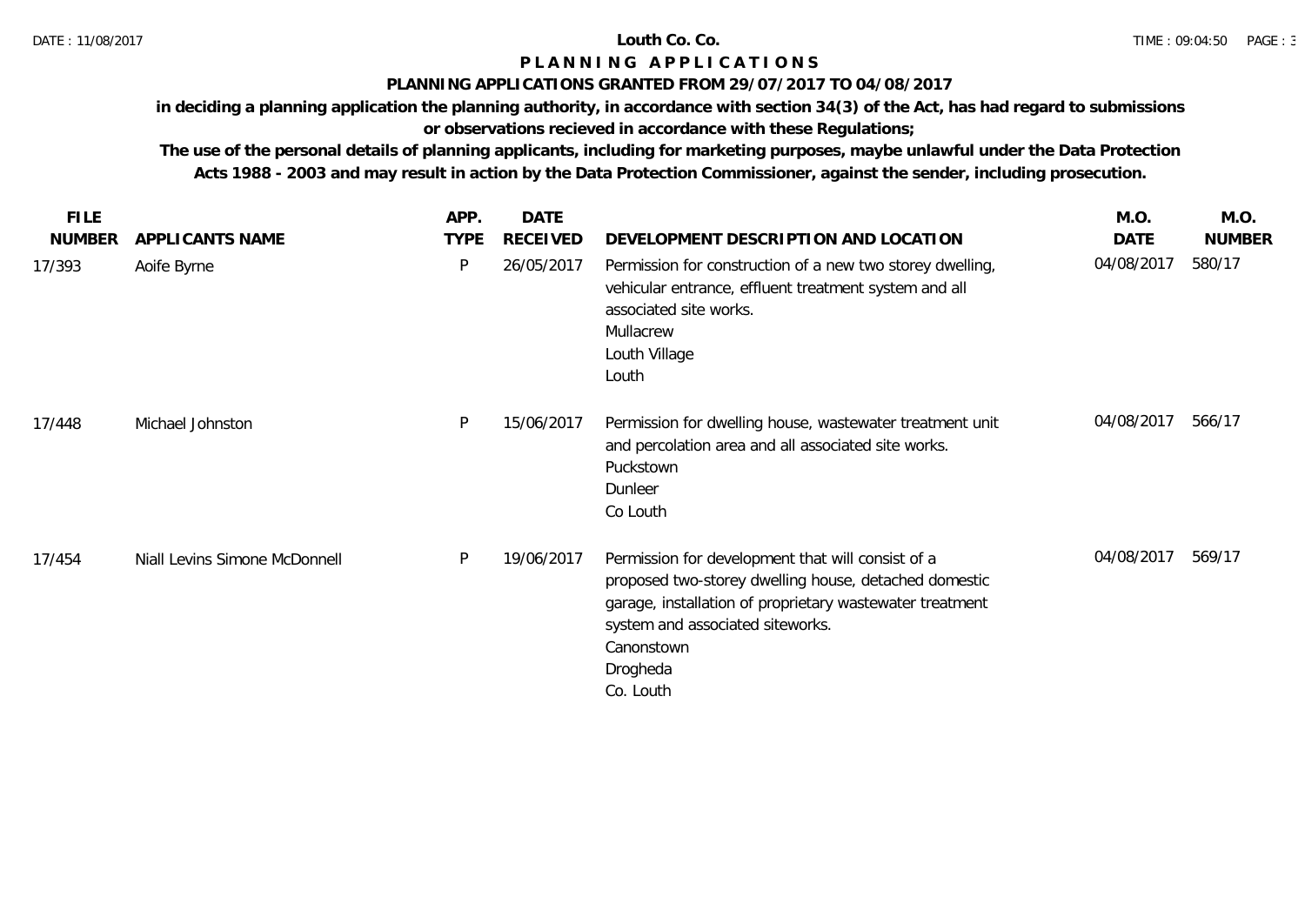## **PLANNING APPLICATIONS GRANTED FROM 29/07/2017 TO 04/08/2017**

**in deciding a planning application the planning authority, in accordance with section 34(3) of the Act, has had regard to submissions** 

# **or observations recieved in accordance with these Regulations;**

| <b>FILE</b>   |                               | APP.        | <b>DATE</b>     |                                                                                                                                                                                                                                                   | M.O.       | M.O.          |
|---------------|-------------------------------|-------------|-----------------|---------------------------------------------------------------------------------------------------------------------------------------------------------------------------------------------------------------------------------------------------|------------|---------------|
| <b>NUMBER</b> | APPLICANTS NAME               | <b>TYPE</b> | <b>RECEIVED</b> | DEVELOPMENT DESCRIPTION AND LOCATION                                                                                                                                                                                                              | DATE       | <b>NUMBER</b> |
| 17/393        | Aoife Byrne                   | P           | 26/05/2017      | Permission for construction of a new two storey dwelling,<br>vehicular entrance, effluent treatment system and all<br>associated site works.<br>Mullacrew<br>Louth Village<br>Louth                                                               | 04/08/2017 | 580/17        |
| 17/448        | Michael Johnston              | P           | 15/06/2017      | Permission for dwelling house, wastewater treatment unit<br>and percolation area and all associated site works.<br>Puckstown<br>Dunleer<br>Co Louth                                                                                               | 04/08/2017 | 566/17        |
| 17/454        | Niall Levins Simone McDonnell | P           | 19/06/2017      | Permission for development that will consist of a<br>proposed two-storey dwelling house, detached domestic<br>garage, installation of proprietary wastewater treatment<br>system and associated siteworks.<br>Canonstown<br>Drogheda<br>Co. Louth | 04/08/2017 | 569/17        |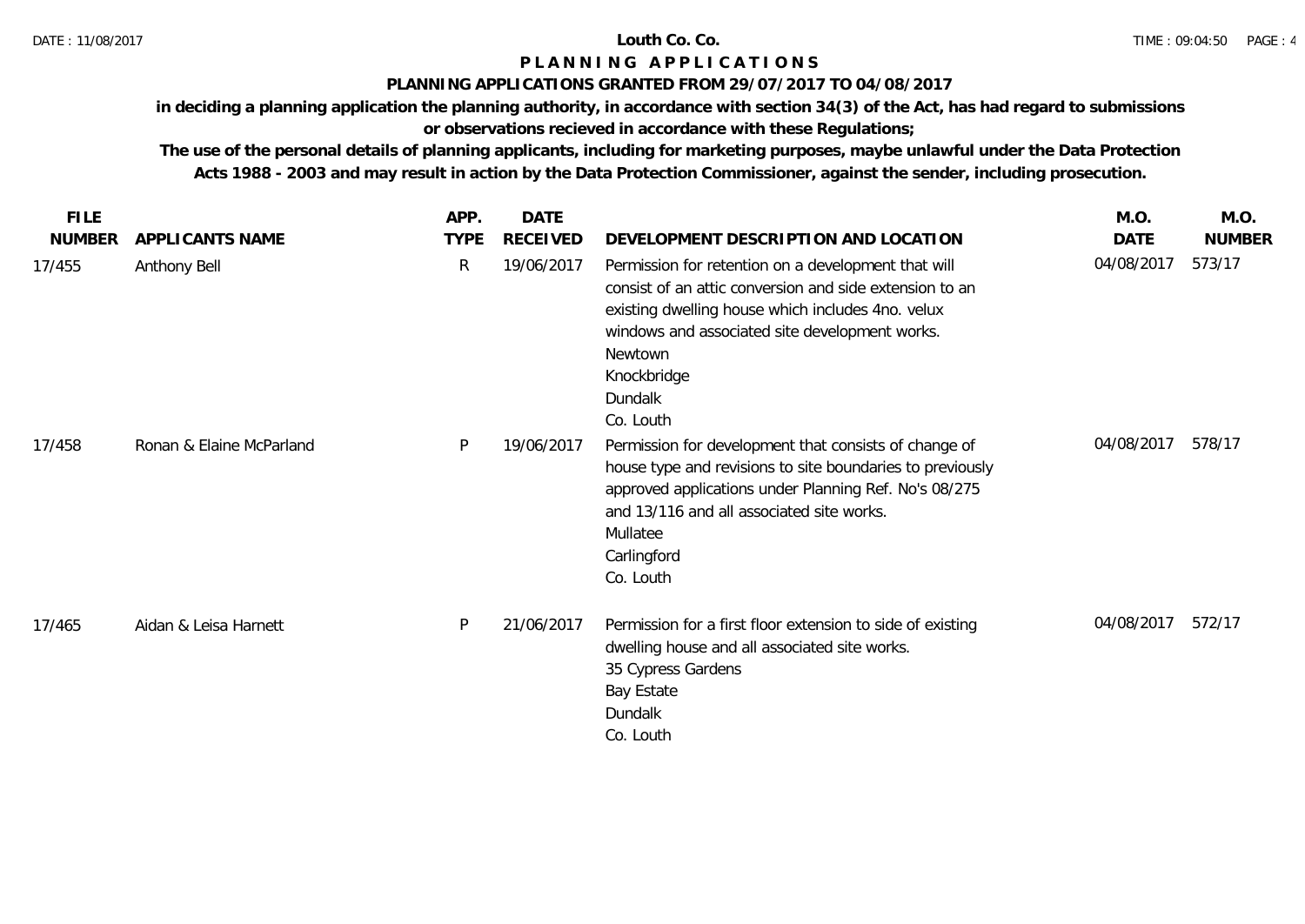## **PLANNING APPLICATIONS GRANTED FROM 29/07/2017 TO 04/08/2017**

**in deciding a planning application the planning authority, in accordance with section 34(3) of the Act, has had regard to submissions** 

# **or observations recieved in accordance with these Regulations;**

| <b>FILE</b>   |                          | APP.        | <b>DATE</b>     |                                                                                                                                                                                                                                                                         | M.O.       | M.O.          |
|---------------|--------------------------|-------------|-----------------|-------------------------------------------------------------------------------------------------------------------------------------------------------------------------------------------------------------------------------------------------------------------------|------------|---------------|
| <b>NUMBER</b> | APPLICANTS NAME          | <b>TYPE</b> | <b>RECEIVED</b> | DEVELOPMENT DESCRIPTION AND LOCATION                                                                                                                                                                                                                                    | DATE       | <b>NUMBER</b> |
| 17/455        | Anthony Bell             | R           | 19/06/2017      | Permission for retention on a development that will<br>consist of an attic conversion and side extension to an<br>existing dwelling house which includes 4no. velux<br>windows and associated site development works.<br>Newtown<br>Knockbridge<br>Dundalk<br>Co. Louth | 04/08/2017 | 573/17        |
| 17/458        | Ronan & Elaine McParland | P           | 19/06/2017      | Permission for development that consists of change of<br>house type and revisions to site boundaries to previously<br>approved applications under Planning Ref. No's 08/275<br>and 13/116 and all associated site works.<br>Mullatee<br>Carlingford<br>Co. Louth        | 04/08/2017 | 578/17        |
| 17/465        | Aidan & Leisa Harnett    | P           | 21/06/2017      | Permission for a first floor extension to side of existing<br>dwelling house and all associated site works.<br>35 Cypress Gardens<br>Bay Estate<br>Dundalk<br>Co. Louth                                                                                                 | 04/08/2017 | 572/17        |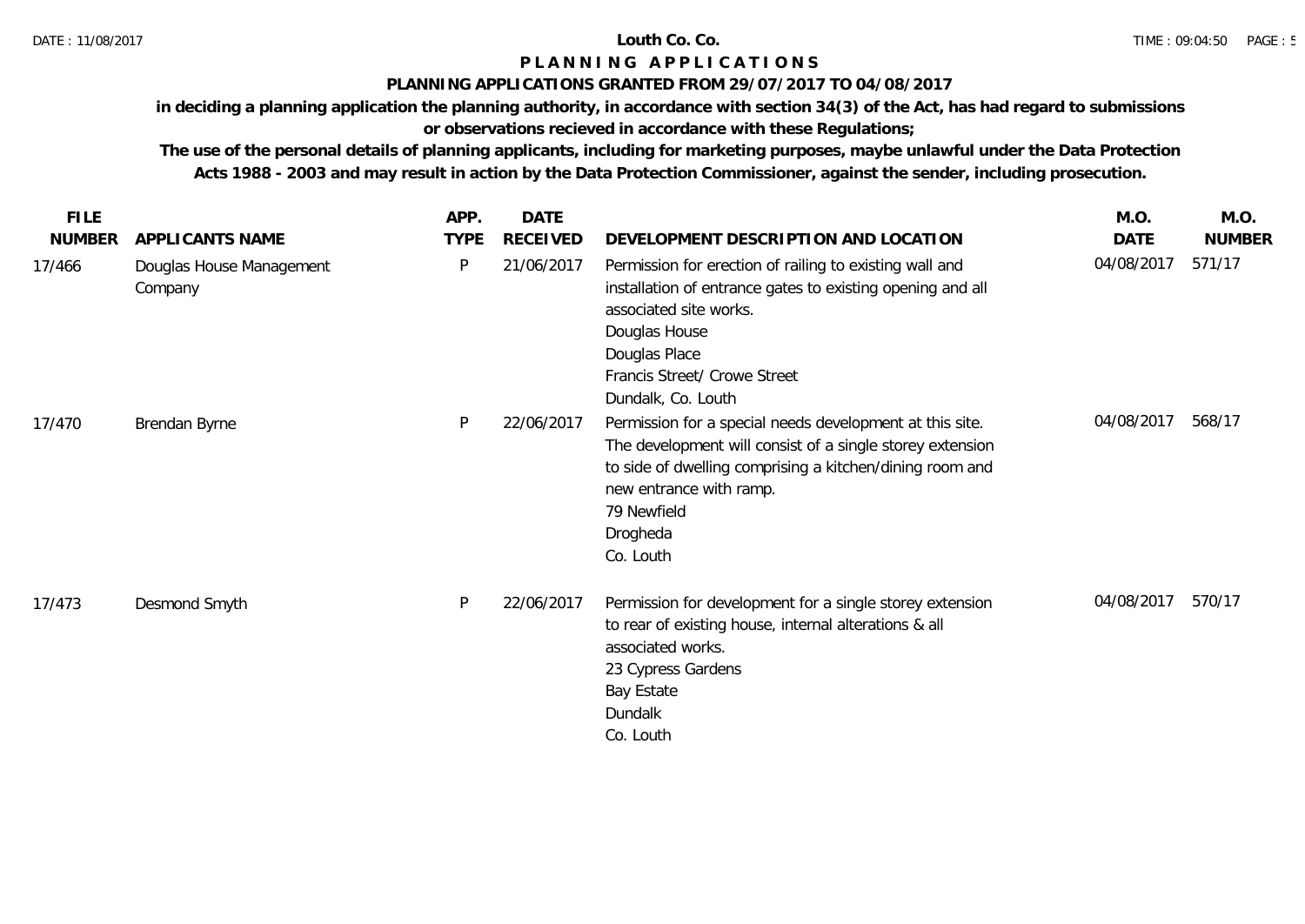## **PLANNING APPLICATIONS GRANTED FROM 29/07/2017 TO 04/08/2017**

**in deciding a planning application the planning authority, in accordance with section 34(3) of the Act, has had regard to submissions** 

# **or observations recieved in accordance with these Regulations;**

| <b>FILE</b>   |                                     | APP.        | DATE            |                                                                                                                                                                                                                                                      | M.O.        | M.O.          |
|---------------|-------------------------------------|-------------|-----------------|------------------------------------------------------------------------------------------------------------------------------------------------------------------------------------------------------------------------------------------------------|-------------|---------------|
| <b>NUMBER</b> | APPLICANTS NAME                     | <b>TYPE</b> | <b>RECEIVED</b> | DEVELOPMENT DESCRIPTION AND LOCATION                                                                                                                                                                                                                 | <b>DATE</b> | <b>NUMBER</b> |
| 17/466        | Douglas House Management<br>Company | P           | 21/06/2017      | Permission for erection of railing to existing wall and<br>installation of entrance gates to existing opening and all<br>associated site works.<br>Douglas House<br>Douglas Place<br>Francis Street/ Crowe Street<br>Dundalk, Co. Louth              | 04/08/2017  | 571/17        |
| 17/470        | Brendan Byrne                       | P           | 22/06/2017      | Permission for a special needs development at this site.<br>The development will consist of a single storey extension<br>to side of dwelling comprising a kitchen/dining room and<br>new entrance with ramp.<br>79 Newfield<br>Drogheda<br>Co. Louth | 04/08/2017  | 568/17        |
| 17/473        | Desmond Smyth                       | P           | 22/06/2017      | Permission for development for a single storey extension<br>to rear of existing house, internal alterations & all<br>associated works.<br>23 Cypress Gardens<br>Bay Estate<br>Dundalk<br>Co. Louth                                                   | 04/08/2017  | 570/17        |